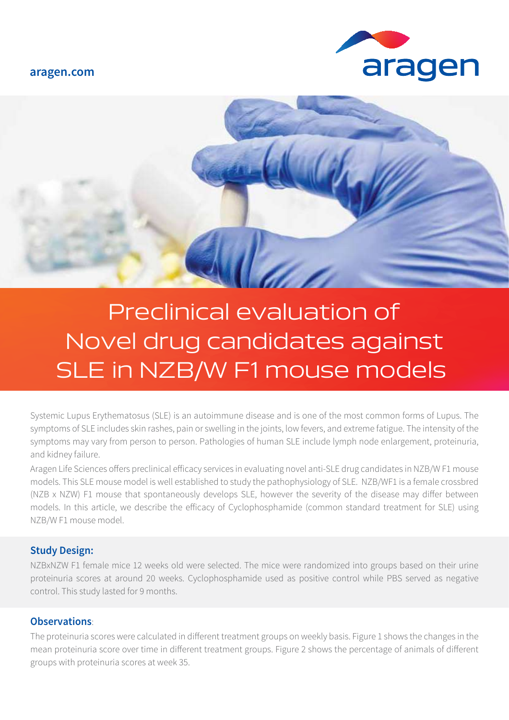#### **aragen.com**





# Preclinical evaluation of Novel drug candidates against SLE in NZB/W F1 mouse models

Systemic Lupus Erythematosus (SLE) is an autoimmune disease and is one of the most common forms of Lupus. The symptoms of SLE includes skin rashes, pain or swelling in the joints, low fevers, and extreme fatigue. The intensity of the symptoms may vary from person to person. Pathologies of human SLE include lymph node enlargement, proteinuria, and kidney failure.

Aragen Life Sciences offers preclinical efficacy services in evaluating novel anti-SLE drug candidates in NZB/W F1 mouse models. This SLE mouse model is well established to study the pathophysiology of SLE. NZB/WF1 is a female crossbred (NZB x NZW) F1 mouse that spontaneously develops SLE, however the severity of the disease may differ between models. In this article, we describe the efficacy of Cyclophosphamide (common standard treatment for SLE) using NZB/W F1 mouse model.

### **Study Design:**

NZBxNZW F1 female mice 12 weeks old were selected. The mice were randomized into groups based on their urine proteinuria scores at around 20 weeks. Cyclophosphamide used as positive control while PBS served as negative control. This study lasted for 9 months.

### **Observations**:

The proteinuria scores were calculated in different treatment groups on weekly basis. Figure 1 shows the changes in the mean proteinuria score over time in different treatment groups. Figure 2 shows the percentage of animals of different groups with proteinuria scores at week 35.